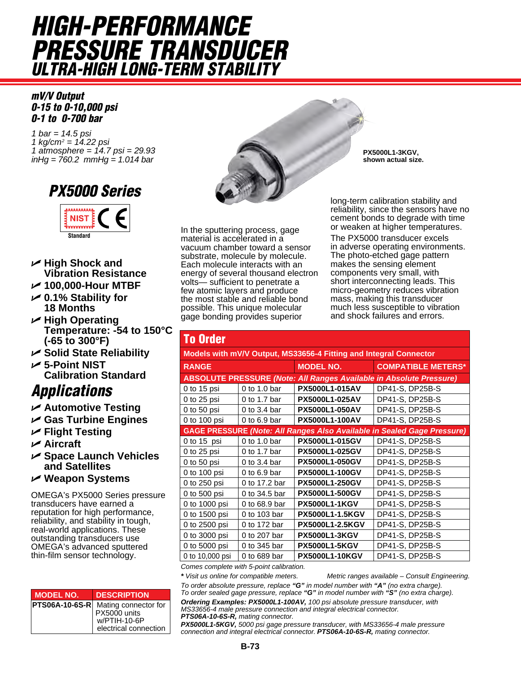# *HigH-PerfOrmance Pressure Transducer ulTra-HigH lOng-Term sTabiliTy*

### *mV/V Output 0-15 to 0-10,000 psi 0-1 to 0-700 bar*

*1 bar = 14.5 psi 1 kg/cm2 = 14.22 psi 1 atmosphere = 14.7 psi = 29.93 inHg = 760.2 mmHg = 1.014 bar*

## *PX5000 series*



- U **High Shock and Vibration Resistance**
- U **100,000-Hour MTBF**
- U **0.1% Stability for 18 Months**
- U **High Operating Temperature: -54 to 150°C (-65 to 300°F)**
- U **Solid State Reliability**
- U **5-Point NIST Calibration Standard**

## *applications*

- U **Automotive Testing**
- U **Gas Turbine Engines**
- U **Flight Testing**
- U **Aircraft**
- U **Space Launch Vehicles and Satellites**
- U **Weapon Systems**

OMEGA's PX5000 Series pressure transducers have earned a reputation for high performance, reliability, and stability in tough, real-world applications. These outstanding transducers use OMEGA's advanced sputtered thin-film sensor technology.

| <b>MODEL NO.</b> | <b>DESCRIPTION</b>                                                             |
|------------------|--------------------------------------------------------------------------------|
|                  | <b>PTS06A-10-6S-R</b><br>PX5000 units<br>W/PTIH-10-6P<br>electrical connection |



In the sputtering process, gage material is accelerated in a vacuum chamber toward a sensor substrate, molecule by molecule. Each molecule interacts with an energy of several thousand electron volts— sufficient to penetrate a few atomic layers and produce the most stable and reliable bond possible. This unique molecular gage bonding provides superior

**PX5000L1-3KGV, shown actual size.**

long-term calibration stability and reliability, since the sensors have no cement bonds to degrade with time or weaken at higher temperatures.

The PX5000 transducer excels in adverse operating environments. The photo-etched gage pattern makes the sensing element components very small, with short interconnecting leads. This micro-geometry reduces vibration mass, making this transducer much less susceptible to vibration and shock failures and errors.

| <b>To Order</b>                                                   |                        |                                                                                                                                                              |  |  |  |  |  |  |
|-------------------------------------------------------------------|------------------------|--------------------------------------------------------------------------------------------------------------------------------------------------------------|--|--|--|--|--|--|
| Models with mV/V Output, MS33656-4 Fitting and Integral Connector |                        |                                                                                                                                                              |  |  |  |  |  |  |
|                                                                   | <b>MODEL NO.</b>       | <b>COMPATIBLE METERS*</b>                                                                                                                                    |  |  |  |  |  |  |
|                                                                   |                        |                                                                                                                                                              |  |  |  |  |  |  |
| 0 to 1.0 bar                                                      | PX5000L1-015AV         | DP41-S, DP25B-S                                                                                                                                              |  |  |  |  |  |  |
| 0 to 1.7 bar                                                      | PX5000L1-025AV         | DP41-S, DP25B-S                                                                                                                                              |  |  |  |  |  |  |
| 0 to $3.4$ bar                                                    | <b>PX5000L1-050AV</b>  | DP41-S, DP25B-S                                                                                                                                              |  |  |  |  |  |  |
| $0$ to 6.9 bar                                                    | <b>PX5000L1-100AV</b>  | DP41-S, DP25B-S                                                                                                                                              |  |  |  |  |  |  |
|                                                                   |                        |                                                                                                                                                              |  |  |  |  |  |  |
| 0 to 1.0 bar                                                      | PX5000L1-015GV         | DP41-S, DP25B-S                                                                                                                                              |  |  |  |  |  |  |
| 0 to 1.7 bar                                                      | PX5000L1-025GV         | DP41-S, DP25B-S                                                                                                                                              |  |  |  |  |  |  |
| 0 to 3.4 bar                                                      | <b>PX5000L1-050GV</b>  | DP41-S, DP25B-S                                                                                                                                              |  |  |  |  |  |  |
| 0 to $6.9$ bar                                                    | <b>PX5000L1-100GV</b>  | DP41-S, DP25B-S                                                                                                                                              |  |  |  |  |  |  |
| 0 to 17.2 bar                                                     | <b>PX5000L1-250GV</b>  | DP41-S, DP25B-S                                                                                                                                              |  |  |  |  |  |  |
| 0 to 34.5 bar                                                     | PX5000L1-500GV         | DP41-S, DP25B-S                                                                                                                                              |  |  |  |  |  |  |
| 0 to 68.9 bar                                                     | <b>PX5000L1-1KGV</b>   | DP41-S, DP25B-S                                                                                                                                              |  |  |  |  |  |  |
| 0 to 103 bar                                                      | <b>PX5000L1-1.5KGV</b> | DP41-S, DP25B-S                                                                                                                                              |  |  |  |  |  |  |
| 0 to 172 bar                                                      | <b>PX5000L1-2.5KGV</b> | DP41-S, DP25B-S                                                                                                                                              |  |  |  |  |  |  |
| 0 to 207 bar                                                      | <b>PX5000L1-3KGV</b>   | DP41-S, DP25B-S                                                                                                                                              |  |  |  |  |  |  |
| 0 to 345 bar                                                      | <b>PX5000L1-5KGV</b>   | DP41-S, DP25B-S                                                                                                                                              |  |  |  |  |  |  |
| 0 to 689 bar                                                      | <b>PX5000L1-10KGV</b>  | DP41-S, DP25B-S                                                                                                                                              |  |  |  |  |  |  |
|                                                                   |                        | <b>ABSOLUTE PRESSURE (Note: All Ranges Available in Absolute Pressure)</b><br><b>GAGE PRESSURE (Note: All Ranges Also Available in Sealed Gage Pressure)</b> |  |  |  |  |  |  |

*Comes complete with 5-point calibration.*

*\* Visit us online for compatible meters. Metric ranges available – Consult Engineering.*

*To order absolute pressure, replace "G" in model number with "A" (no extra charge). To order sealed gage pressure, replace "G" in model number with "S" (no extra charge).*

*Ordering Examples: PX5000L1-100AV, 100 psi absolute pressure transducer, with MS33656-4 male pressure connection and integral electrical connector. PTS06A-10-6S-R, mating connector.* 

*PX5000L1-5KGV, 5000 psi gage pressure transducer, with MS33656-4 male pressure connection and integral electrical connector. PTS06A-10-6S-R, mating connector.*